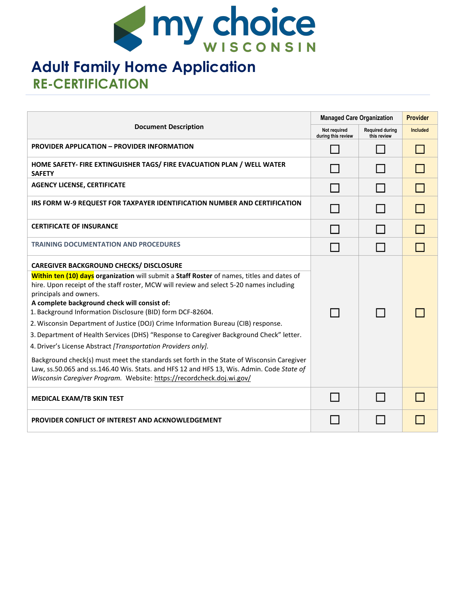

# **Adult Family Home Application RE-CERTIFICATION**

| <b>Document Description</b>                                                                                                                                                                                                                                     |  | <b>Managed Care Organization</b>      |                 |
|-----------------------------------------------------------------------------------------------------------------------------------------------------------------------------------------------------------------------------------------------------------------|--|---------------------------------------|-----------------|
|                                                                                                                                                                                                                                                                 |  | <b>Required during</b><br>this review | <b>Included</b> |
| <b>PROVIDER APPLICATION - PROVIDER INFORMATION</b>                                                                                                                                                                                                              |  |                                       |                 |
| HOME SAFETY- FIRE EXTINGUISHER TAGS/ FIRE EVACUATION PLAN / WELL WATER<br><b>SAFETY</b>                                                                                                                                                                         |  |                                       |                 |
| <b>AGENCY LICENSE, CERTIFICATE</b>                                                                                                                                                                                                                              |  |                                       |                 |
| IRS FORM W-9 REQUEST FOR TAXPAYER IDENTIFICATION NUMBER AND CERTIFICATION                                                                                                                                                                                       |  |                                       |                 |
| <b>CERTIFICATE OF INSURANCE</b>                                                                                                                                                                                                                                 |  |                                       |                 |
| <b>TRAINING DOCUMENTATION AND PROCEDURES</b>                                                                                                                                                                                                                    |  |                                       |                 |
| <b>CAREGIVER BACKGROUND CHECKS/ DISCLOSURE</b>                                                                                                                                                                                                                  |  |                                       |                 |
| Within ten (10) days organization will submit a Staff Roster of names, titles and dates of<br>hire. Upon receipt of the staff roster, MCW will review and select 5-20 names including<br>principals and owners.                                                 |  |                                       |                 |
| A complete background check will consist of:<br>1. Background Information Disclosure (BID) form DCF-82604.                                                                                                                                                      |  |                                       |                 |
| 2. Wisconsin Department of Justice (DOJ) Crime Information Bureau (CIB) response.                                                                                                                                                                               |  |                                       |                 |
| 3. Department of Health Services (DHS) "Response to Caregiver Background Check" letter.                                                                                                                                                                         |  |                                       |                 |
| 4. Driver's License Abstract [Transportation Providers only].                                                                                                                                                                                                   |  |                                       |                 |
| Background check(s) must meet the standards set forth in the State of Wisconsin Caregiver<br>Law, ss.50.065 and ss.146.40 Wis. Stats. and HFS 12 and HFS 13, Wis. Admin. Code State of<br>Wisconsin Caregiver Program. Website: https://recordcheck.doj.wi.gov/ |  |                                       |                 |
| <b>MEDICAL EXAM/TB SKIN TEST</b>                                                                                                                                                                                                                                |  |                                       |                 |
| <b>PROVIDER CONFLICT OF INTEREST AND ACKNOWLEDGEMENT</b>                                                                                                                                                                                                        |  |                                       |                 |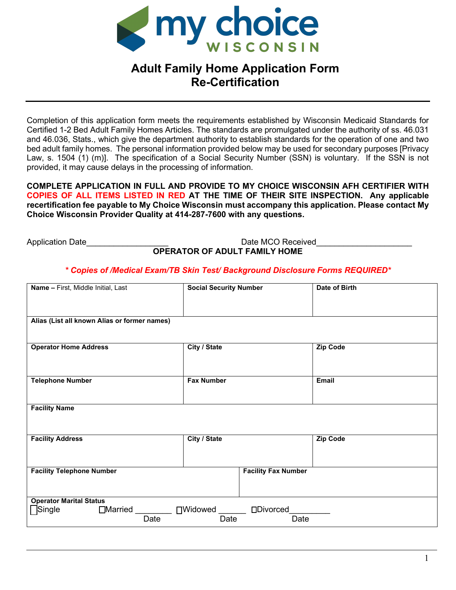

# **Adult Family Home Application Form Re-Certification**

Completion of this application form meets the requirements established by Wisconsin Medicaid Standards for Certified 1-2 Bed Adult Family Homes Articles. The standards are promulgated under the authority of ss. 46.031 and 46.036, Stats., which give the department authority to establish standards for the operation of one and two bed adult family homes. The personal information provided below may be used for secondary purposes [Privacy Law, s. 1504 (1) (m)]. The specification of a Social Security Number (SSN) is voluntary. If the SSN is not provided, it may cause delays in the processing of information.

**COMPLETE APPLICATION IN FULL AND PROVIDE TO MY CHOICE WISCONSIN AFH CERTIFIER WITH COPIES OF ALL ITEMS LISTED IN RED AT THE TIME OF THEIR SITE INSPECTION. Any applicable recertification fee payable to My Choice Wisconsin must accompany this application. Please contact My Choice Wisconsin Provider Quality at 414-287-7600 with any questions.** 

Application Date **Application** Date **MCO** Received **OPERATOR OF ADULT FAMILY HOME** 

## *\* Copies of /Medical Exam/TB Skin Test/ Background Disclosure Forms REQUIRED\**

| Name - First, Middle Initial, Last                                   |      | <b>Social Security Number</b> |                            | Date of Birth   |  |
|----------------------------------------------------------------------|------|-------------------------------|----------------------------|-----------------|--|
|                                                                      |      |                               |                            |                 |  |
|                                                                      |      |                               |                            |                 |  |
| Alias (List all known Alias or former names)                         |      |                               |                            |                 |  |
|                                                                      |      |                               |                            |                 |  |
| <b>Operator Home Address</b>                                         |      | City / State                  |                            | Zip Code        |  |
|                                                                      |      |                               |                            |                 |  |
|                                                                      |      |                               |                            |                 |  |
| <b>Telephone Number</b>                                              |      | <b>Fax Number</b>             |                            | Email           |  |
|                                                                      |      |                               |                            |                 |  |
| <b>Facility Name</b>                                                 |      |                               |                            |                 |  |
|                                                                      |      |                               |                            |                 |  |
|                                                                      |      |                               |                            |                 |  |
| <b>Facility Address</b>                                              |      | City / State                  |                            | <b>Zip Code</b> |  |
|                                                                      |      |                               |                            |                 |  |
| <b>Facility Telephone Number</b>                                     |      |                               | <b>Facility Fax Number</b> |                 |  |
|                                                                      |      |                               |                            |                 |  |
|                                                                      |      |                               |                            |                 |  |
| <b>Operator Marital Status</b><br>□Married _________ □Widowed ______ |      |                               |                            |                 |  |
| $\sqsupset$ Single                                                   |      |                               | □Divorced                  |                 |  |
|                                                                      | Date | Date                          | Date                       |                 |  |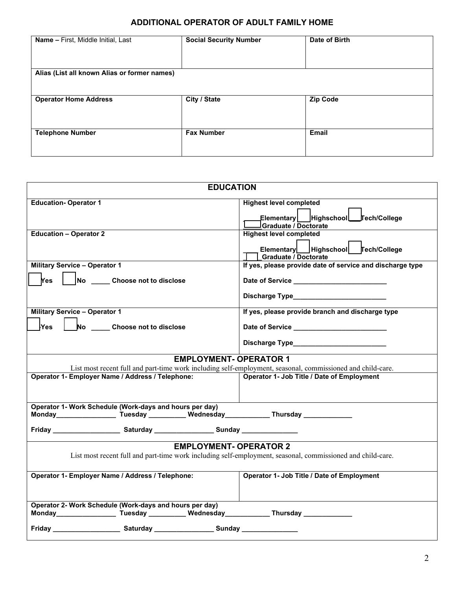# **ADDITIONAL OPERATOR OF ADULT FAMILY HOME**

| Name - First, Middle Initial, Last           | <b>Social Security Number</b> | Date of Birth |
|----------------------------------------------|-------------------------------|---------------|
| Alias (List all known Alias or former names) |                               |               |
| <b>Operator Home Address</b>                 | City / State                  | Zip Code      |
| <b>Telephone Number</b>                      | <b>Fax Number</b>             | <b>Email</b>  |

| <b>EDUCATION</b>                                                                                                                                                     |                                                                                                            |  |  |  |
|----------------------------------------------------------------------------------------------------------------------------------------------------------------------|------------------------------------------------------------------------------------------------------------|--|--|--|
| <b>Education-Operator 1</b>                                                                                                                                          | <b>Highest level completed</b><br>Graduate / Doctorate                                                     |  |  |  |
| <b>Education - Operator 2</b>                                                                                                                                        | <b>Highest level completed</b><br>Elementary Highschool<br>Tech/College<br><b>Graduate / Doctorate</b>     |  |  |  |
| <b>Military Service - Operator 1</b><br>No _____ Choose not to disclose<br><b>Yes</b>                                                                                | If yes, please provide date of service and discharge type<br>Date of Service _____________________________ |  |  |  |
| <b>Military Service - Operator 1</b><br>No ______ Choose not to disclose<br><b>Yes</b>                                                                               | If yes, please provide branch and discharge type<br>Date of Service _____________________________          |  |  |  |
| <b>EMPLOYMENT- OPERATOR 1</b>                                                                                                                                        |                                                                                                            |  |  |  |
| List most recent full and part-time work including self-employment, seasonal, commissioned and child-care.<br>Operator 1- Employer Name / Address / Telephone:       | Operator 1- Job Title / Date of Employment                                                                 |  |  |  |
| Operator 1- Work Schedule (Work-days and hours per day)<br>Monday________________________Tuesday _____________Wednesday____________________Thursday ________________ |                                                                                                            |  |  |  |
| Friday ____________________________ Saturday _______________________Sunday ________________________                                                                  |                                                                                                            |  |  |  |
| <b>EMPLOYMENT- OPERATOR 2</b>                                                                                                                                        |                                                                                                            |  |  |  |
| List most recent full and part-time work including self-employment, seasonal, commissioned and child-care.                                                           |                                                                                                            |  |  |  |
| Operator 1- Employer Name / Address / Telephone:                                                                                                                     | Operator 1- Job Title / Date of Employment                                                                 |  |  |  |
| Operator 2- Work Schedule (Work-days and hours per day)<br>Monday_________________________Tuesday _____________Wednesday_________________Thursday _____________      |                                                                                                            |  |  |  |
| Friday ___________________________Saturday _____________________Sunday __________                                                                                    |                                                                                                            |  |  |  |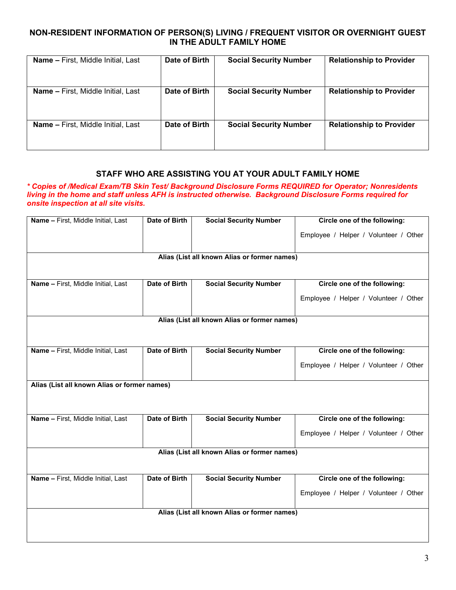#### **NON-RESIDENT INFORMATION OF PERSON(S) LIVING / FREQUENT VISITOR OR OVERNIGHT GUEST IN THE ADULT FAMILY HOME**

| <b>Name - First, Middle Initial, Last</b> | Date of Birth | <b>Social Security Number</b> | <b>Relationship to Provider</b> |
|-------------------------------------------|---------------|-------------------------------|---------------------------------|
| <b>Name – First, Middle Initial, Last</b> | Date of Birth | <b>Social Security Number</b> | <b>Relationship to Provider</b> |
| <b>Name - First, Middle Initial, Last</b> | Date of Birth | <b>Social Security Number</b> | <b>Relationship to Provider</b> |

#### **STAFF WHO ARE ASSISTING YOU AT YOUR ADULT FAMILY HOME**

*\* Copies of /Medical Exam/TB Skin Test/ Background Disclosure Forms REQUIRED for Operator; Nonresidents living in the home and staff unless AFH is instructed otherwise. Background Disclosure Forms required for onsite inspection at all site visits.*

| Name - First, Middle Initial, Last           | <b>Date of Birth</b> | <b>Social Security Number</b>                | Circle one of the following:          |  |
|----------------------------------------------|----------------------|----------------------------------------------|---------------------------------------|--|
|                                              |                      |                                              | Employee / Helper / Volunteer / Other |  |
|                                              |                      | Alias (List all known Alias or former names) |                                       |  |
|                                              |                      |                                              |                                       |  |
|                                              |                      |                                              |                                       |  |
| Name - First, Middle Initial, Last           | Date of Birth        | <b>Social Security Number</b>                | Circle one of the following:          |  |
|                                              |                      |                                              | Employee / Helper / Volunteer / Other |  |
|                                              |                      | Alias (List all known Alias or former names) |                                       |  |
|                                              |                      |                                              |                                       |  |
|                                              |                      |                                              |                                       |  |
| Name - First, Middle Initial, Last           | Date of Birth        | <b>Social Security Number</b>                | Circle one of the following:          |  |
|                                              |                      |                                              | Employee / Helper / Volunteer / Other |  |
|                                              |                      |                                              |                                       |  |
| Alias (List all known Alias or former names) |                      |                                              |                                       |  |
|                                              |                      |                                              |                                       |  |
|                                              |                      |                                              |                                       |  |
| Name - First, Middle Initial, Last           | <b>Date of Birth</b> | <b>Social Security Number</b>                | Circle one of the following:          |  |
|                                              |                      |                                              |                                       |  |
|                                              |                      |                                              | Employee / Helper / Volunteer / Other |  |
|                                              |                      | Alias (List all known Alias or former names) |                                       |  |
|                                              |                      |                                              |                                       |  |
|                                              |                      |                                              |                                       |  |
| Name - First, Middle Initial, Last           | <b>Date of Birth</b> | <b>Social Security Number</b>                | Circle one of the following:          |  |
|                                              |                      |                                              | Employee / Helper / Volunteer / Other |  |
|                                              |                      |                                              |                                       |  |
| Alias (List all known Alias or former names) |                      |                                              |                                       |  |
|                                              |                      |                                              |                                       |  |
|                                              |                      |                                              |                                       |  |
|                                              |                      |                                              |                                       |  |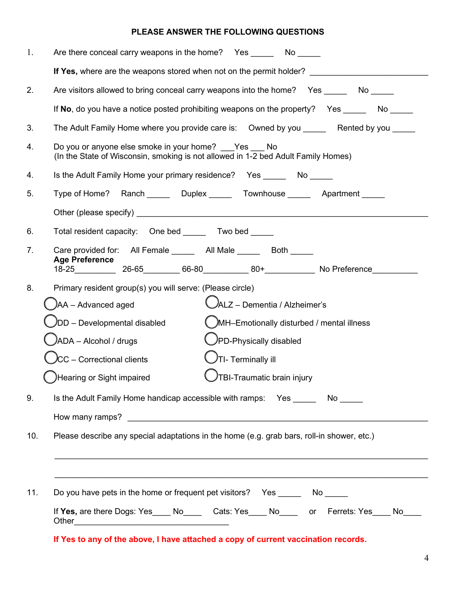# **PLEASE ANSWER THE FOLLOWING QUESTIONS**

| 1.             | Are there conceal carry weapons in the home? Yes _________ No ______                                                                  |
|----------------|---------------------------------------------------------------------------------------------------------------------------------------|
|                | If Yes, where are the weapons stored when not on the permit holder?                                                                   |
| 2.             | Are visitors allowed to bring conceal carry weapons into the home?  Yes _______ No _____                                              |
|                | If No, do you have a notice posted prohibiting weapons on the property? Yes No                                                        |
| 3.             | The Adult Family Home where you provide care is:  Owned by you ______ Rented by you _____                                             |
| 4.             | Do you or anyone else smoke in your home? Yes No<br>(In the State of Wisconsin, smoking is not allowed in 1-2 bed Adult Family Homes) |
| 4.             | Is the Adult Family Home your primary residence? Yes _______ No _____                                                                 |
| 5.             | Type of Home? Ranch _______ Duplex ______ Townhouse ______ Apartment _____                                                            |
|                |                                                                                                                                       |
| 6.             | Total resident capacity: One bed _______ Two bed _____                                                                                |
| 7 <sub>1</sub> | Care provided for: All Female ______ All Male _____ Both _____<br><b>Age Preference</b>                                               |
|                | 18-25_____________ 26-65_________ 66-80___________ 80+_____________ No Preference___________                                          |
| 8.             | Primary resident group(s) you will serve: (Please circle)                                                                             |
|                | JALZ – Dementia / Alzheimer's<br>)AA - Advanced aged                                                                                  |
|                | JDD - Developmental disabled<br>MH-Emotionally disturbed / mental illness                                                             |
|                | $\bigcup$ PD-Physically disabled<br>$JADA - Alcohol / drugs$                                                                          |
|                | $\lambda$ CC – Correctional clients<br>$\bigcup$ TI- Terminally ill                                                                   |
|                | $\bigcup$ TBI-Traumatic brain injury<br>Hearing or Sight impaired                                                                     |
| 9.             | Is the Adult Family Home handicap accessible with ramps: Yes _______ No _____                                                         |
|                |                                                                                                                                       |
| 10.            | Please describe any special adaptations in the home (e.g. grab bars, roll-in shower, etc.)                                            |
|                |                                                                                                                                       |
|                |                                                                                                                                       |
| 11.            | Do you have pets in the home or frequent pet visitors?  Yes _______ No ______                                                         |
|                | If Yes, are there Dogs: Yes____ No____ Cats: Yes____ No____ or Ferrets: Yes____ No____                                                |
|                | If Yes to any of the above, I have attached a copy of current vaccination records.                                                    |

4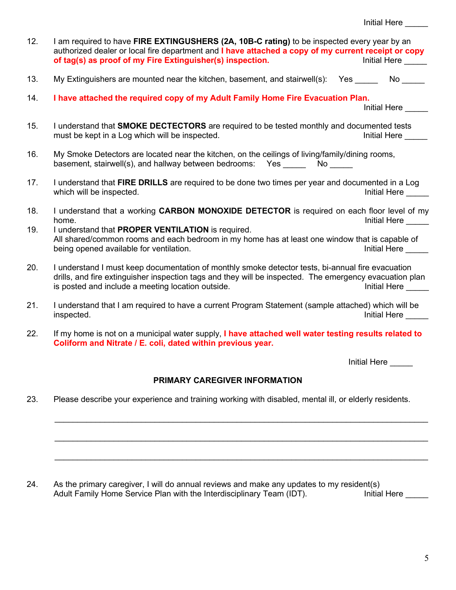| 12.                           | I am required to have FIRE EXTINGUSHERS (2A, 10B-C rating) to be inspected every year by an<br>authorized dealer or local fire department and I have attached a copy of my current receipt or copy<br>of tag(s) as proof of my Fire Extinguisher(s) inspection.<br>Initial Here                                                       |  |  |  |
|-------------------------------|---------------------------------------------------------------------------------------------------------------------------------------------------------------------------------------------------------------------------------------------------------------------------------------------------------------------------------------|--|--|--|
| 13.                           | My Extinguishers are mounted near the kitchen, basement, and stairwell(s): Yes No                                                                                                                                                                                                                                                     |  |  |  |
| 14.                           | I have attached the required copy of my Adult Family Home Fire Evacuation Plan.<br>Initial Here                                                                                                                                                                                                                                       |  |  |  |
| 15.                           | I understand that <b>SMOKE DECTECTORS</b> are required to be tested monthly and documented tests<br>must be kept in a Log which will be inspected.<br><b>Initial Here</b>                                                                                                                                                             |  |  |  |
| 16.                           | My Smoke Detectors are located near the kitchen, on the ceilings of living/family/dining rooms,<br>basement, stairwell(s), and hallway between bedrooms: Yes No                                                                                                                                                                       |  |  |  |
| 17.                           | I understand that FIRE DRILLS are required to be done two times per year and documented in a Log<br>which will be inspected.<br>Initial Here _____                                                                                                                                                                                    |  |  |  |
| 18.<br>19.                    | I understand that a working CARBON MONOXIDE DETECTOR is required on each floor level of my<br>home.<br>Initial Here<br>I understand that PROPER VENTILATION is required.<br>All shared/common rooms and each bedroom in my home has at least one window that is capable of<br>being opened available for ventilation.<br>Initial Here |  |  |  |
| 20.                           | I understand I must keep documentation of monthly smoke detector tests, bi-annual fire evacuation<br>drills, and fire extinguisher inspection tags and they will be inspected. The emergency evacuation plan<br>is posted and include a meeting location outside.<br>Initial Here                                                     |  |  |  |
| 21.                           | I understand that I am required to have a current Program Statement (sample attached) which will be<br>inspected.<br>Initial Here                                                                                                                                                                                                     |  |  |  |
| 22.                           | If my home is not on a municipal water supply, I have attached well water testing results related to<br>Coliform and Nitrate / E. coli, dated within previous year.                                                                                                                                                                   |  |  |  |
|                               | Initial Here                                                                                                                                                                                                                                                                                                                          |  |  |  |
| PRIMARY CAREGIVER INFORMATION |                                                                                                                                                                                                                                                                                                                                       |  |  |  |
| 23.                           | Please describe your experience and training working with disabled, mental ill, or elderly residents.                                                                                                                                                                                                                                 |  |  |  |

24. As the primary caregiver, I will do annual reviews and make any updates to my resident(s)<br>Adult Family Home Service Plan with the Interdisciplinary Team (IDT). Initial Here \_\_\_\_\_ Adult Family Home Service Plan with the Interdisciplinary Team (IDT).

\_\_\_\_\_\_\_\_\_\_\_\_\_\_\_\_\_\_\_\_\_\_\_\_\_\_\_\_\_\_\_\_\_\_\_\_\_\_\_\_\_\_\_\_\_\_\_\_\_\_\_\_\_\_\_\_\_\_\_\_\_\_\_\_\_\_\_\_\_\_\_\_\_\_\_\_\_\_\_\_\_\_

 $\_$  , and the set of the set of the set of the set of the set of the set of the set of the set of the set of the set of the set of the set of the set of the set of the set of the set of the set of the set of the set of th

\_\_\_\_\_\_\_\_\_\_\_\_\_\_\_\_\_\_\_\_\_\_\_\_\_\_\_\_\_\_\_\_\_\_\_\_\_\_\_\_\_\_\_\_\_\_\_\_\_\_\_\_\_\_\_\_\_\_\_\_\_\_\_\_\_\_\_\_\_\_\_\_\_\_\_\_\_\_\_\_\_\_

Initial Here \_\_\_\_\_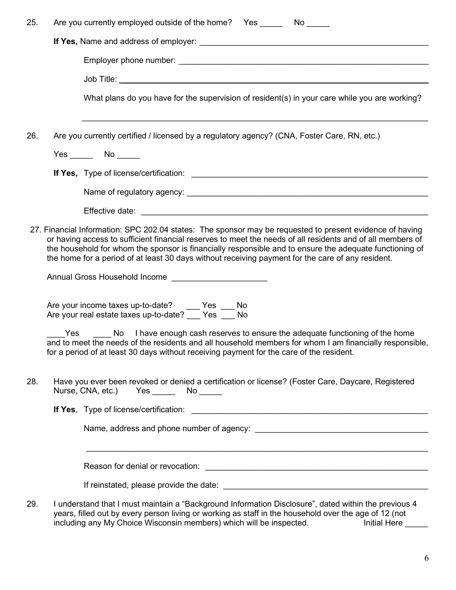| 25. | Are you currently employed outside of the home? Yes _______ No _____                                                                                                                                                                                                                                                                                                                                                                                                                                                                                                                                                                                                                                                                                                                           |
|-----|------------------------------------------------------------------------------------------------------------------------------------------------------------------------------------------------------------------------------------------------------------------------------------------------------------------------------------------------------------------------------------------------------------------------------------------------------------------------------------------------------------------------------------------------------------------------------------------------------------------------------------------------------------------------------------------------------------------------------------------------------------------------------------------------|
|     |                                                                                                                                                                                                                                                                                                                                                                                                                                                                                                                                                                                                                                                                                                                                                                                                |
|     |                                                                                                                                                                                                                                                                                                                                                                                                                                                                                                                                                                                                                                                                                                                                                                                                |
|     |                                                                                                                                                                                                                                                                                                                                                                                                                                                                                                                                                                                                                                                                                                                                                                                                |
|     | What plans do you have for the supervision of resident(s) in your care while you are working?                                                                                                                                                                                                                                                                                                                                                                                                                                                                                                                                                                                                                                                                                                  |
| 26. | Are you currently certified / licensed by a regulatory agency? (CNA, Foster Care, RN, etc.)                                                                                                                                                                                                                                                                                                                                                                                                                                                                                                                                                                                                                                                                                                    |
|     | $Yes \_\_\_\_$ No $\_\_\_\_\$                                                                                                                                                                                                                                                                                                                                                                                                                                                                                                                                                                                                                                                                                                                                                                  |
|     |                                                                                                                                                                                                                                                                                                                                                                                                                                                                                                                                                                                                                                                                                                                                                                                                |
|     |                                                                                                                                                                                                                                                                                                                                                                                                                                                                                                                                                                                                                                                                                                                                                                                                |
|     |                                                                                                                                                                                                                                                                                                                                                                                                                                                                                                                                                                                                                                                                                                                                                                                                |
|     | or having access to sufficient financial reserves to meet the needs of all residents and of all members of<br>the household for whom the sponsor is financially responsible and to ensure the adequate functioning of<br>the home for a period of at least 30 days without receiving payment for the care of any resident.<br>Annual Gross Household Income ________________________<br>Are your income taxes up-to-date? ____ Yes ___ No<br>Are your real estate taxes up-to-date? ___ Yes ___ No<br>Yes No I have enough cash reserves to ensure the adequate functioning of the home<br>and to meet the needs of the residents and all household members for whom I am financially responsible,<br>for a period of at least 30 days without receiving payment for the care of the resident. |
| 28. | Have you ever been revoked or denied a certification or license? (Foster Care, Daycare, Registered<br>Nurse, CNA, etc.)<br>$Yes \_\_$ No $\_\_$                                                                                                                                                                                                                                                                                                                                                                                                                                                                                                                                                                                                                                                |
|     |                                                                                                                                                                                                                                                                                                                                                                                                                                                                                                                                                                                                                                                                                                                                                                                                |
|     |                                                                                                                                                                                                                                                                                                                                                                                                                                                                                                                                                                                                                                                                                                                                                                                                |
|     | <u> 1989 - Johann John Harry Harry Harry Harry Harry Harry Harry Harry Harry Harry Harry Harry Harry Harry Harry</u>                                                                                                                                                                                                                                                                                                                                                                                                                                                                                                                                                                                                                                                                           |
|     |                                                                                                                                                                                                                                                                                                                                                                                                                                                                                                                                                                                                                                                                                                                                                                                                |
| 29. | I understand that I must maintain a "Background Information Disclosure", dated within the previous 4<br>years, filled out by every person living or working as staff in the household over the age of 12 (not<br>including any My Choice Wisconsin members) which will be inspected.<br>Initial Here                                                                                                                                                                                                                                                                                                                                                                                                                                                                                           |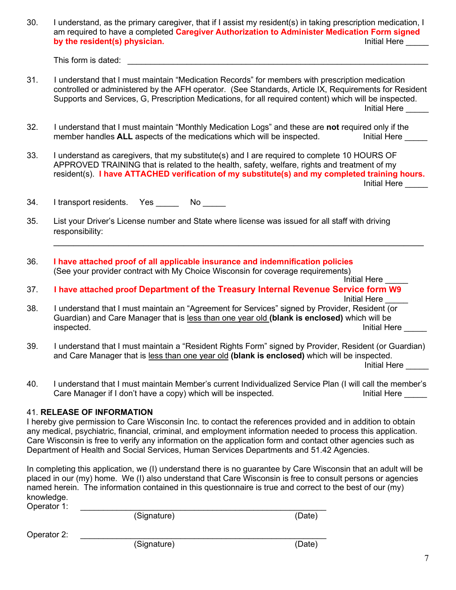30. I understand, as the primary caregiver, that if I assist my resident(s) in taking prescription medication, I am required to have a completed **Caregiver Authorization to Administer Medication Form signed** by the resident(s) physician.

This form is dated:  $\blacksquare$ 

- 31. I understand that I must maintain "Medication Records" for members with prescription medication controlled or administered by the AFH operator. (See Standards, Article IX, Requirements for Resident Supports and Services, G, Prescription Medications, for all required content) which will be inspected. Initial Here \_\_\_\_\_
- 32. I understand that I must maintain "Monthly Medication Logs" and these are **not** required only if the member handles **ALL** aspects of the medications which will be inspected.
- 33. I understand as caregivers, that my substitute(s) and I are required to complete 10 HOURS OF APPROVED TRAINING that is related to the health, safety, welfare, rights and treatment of my resident(s). **I have ATTACHED verification of my substitute(s) and my completed training hours.** Initial Here \_\_\_\_\_

\_\_\_\_\_\_\_\_\_\_\_\_\_\_\_\_\_\_\_\_\_\_\_\_\_\_\_\_\_\_\_\_\_\_\_\_\_\_\_\_\_\_\_\_\_\_\_\_\_\_\_\_\_\_\_\_\_\_\_\_\_\_\_\_\_\_\_\_\_\_\_\_\_\_

34. I transport residents. Yes No

- 35. List your Driver's License number and State where license was issued for all staff with driving responsibility:
- 36. **I have attached proof of all applicable insurance and indemnification policies** (See your provider contract with My Choice Wisconsin for coverage requirements) Initial Here
- 37. **I have attached proof Department of the Treasury Internal Revenue Service form W9** Initial Here
- 38. I understand that I must maintain an "Agreement for Services" signed by Provider, Resident (or Guardian) and Care Manager that is less than one year old **(blank is enclosed)** which will be Initial Here
- 39. I understand that I must maintain a "Resident Rights Form" signed by Provider, Resident (or Guardian) and Care Manager that is less than one year old **(blank is enclosed)** which will be inspected. Initial Here
- 40. I understand that I must maintain Member's current Individualized Service Plan (I will call the member's Care Manager if I don't have a copy) which will be inspected. The same section of the limitial Here

## 41. **RELEASE OF INFORMATION**

I hereby give permission to Care Wisconsin Inc. to contact the references provided and in addition to obtain any medical, psychiatric, financial, criminal, and employment information needed to process this application. Care Wisconsin is free to verify any information on the application form and contact other agencies such as Department of Health and Social Services, Human Services Departments and 51.42 Agencies.

In completing this application, we (I) understand there is no guarantee by Care Wisconsin that an adult will be placed in our (my) home. We (I) also understand that Care Wisconsin is free to consult persons or agencies named herein. The information contained in this questionnaire is true and correct to the best of our (my) knowledge.<br>Cnoretor 1:

| Operator 1: |             |        |
|-------------|-------------|--------|
|             | (Signature) | (Date) |
| Operator 2: |             |        |
|             | (Signature) | (Date) |